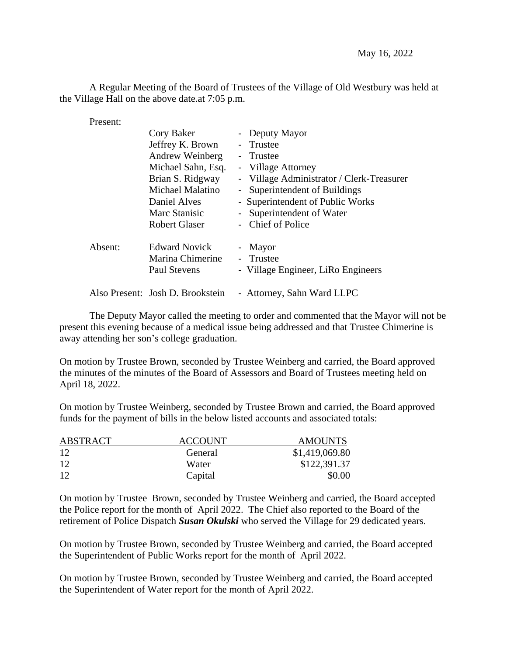A Regular Meeting of the Board of Trustees of the Village of Old Westbury was held at the Village Hall on the above date.at 7:05 p.m.

Present:

|         | Cory Baker                       | - Deputy Mayor                            |
|---------|----------------------------------|-------------------------------------------|
|         | Jeffrey K. Brown                 | - Trustee                                 |
|         | Andrew Weinberg                  | - Trustee                                 |
|         | Michael Sahn, Esq.               | - Village Attorney                        |
|         | Brian S. Ridgway                 | - Village Administrator / Clerk-Treasurer |
|         | Michael Malatino                 | - Superintendent of Buildings             |
|         | Daniel Alves                     | - Superintendent of Public Works          |
|         | Marc Stanisic                    | - Superintendent of Water                 |
|         | <b>Robert Glaser</b>             | - Chief of Police                         |
| Absent: | <b>Edward Novick</b>             | - Mayor                                   |
|         | Marina Chimerine                 | - Trustee                                 |
|         | <b>Paul Stevens</b>              | - Village Engineer, LiRo Engineers        |
|         | Also Present: Josh D. Brookstein | - Attorney, Sahn Ward LLPC                |

The Deputy Mayor called the meeting to order and commented that the Mayor will not be present this evening because of a medical issue being addressed and that Trustee Chimerine is away attending her son's college graduation.

On motion by Trustee Brown, seconded by Trustee Weinberg and carried, the Board approved the minutes of the minutes of the Board of Assessors and Board of Trustees meeting held on April 18, 2022.

On motion by Trustee Weinberg, seconded by Trustee Brown and carried, the Board approved funds for the payment of bills in the below listed accounts and associated totals:

| <b>ABSTRACT</b> | <b>ACCOUNT</b> | <b>AMOUNTS</b> |
|-----------------|----------------|----------------|
| 12              | General        | \$1,419,069.80 |
| 12              | Water          | \$122,391.37   |
| 12              | Capital        | \$0.00         |

On motion by Trustee Brown, seconded by Trustee Weinberg and carried, the Board accepted the Police report for the month of April 2022. The Chief also reported to the Board of the retirement of Police Dispatch *Susan Okulski* who served the Village for 29 dedicated years.

On motion by Trustee Brown, seconded by Trustee Weinberg and carried, the Board accepted the Superintendent of Public Works report for the month of April 2022.

On motion by Trustee Brown, seconded by Trustee Weinberg and carried, the Board accepted the Superintendent of Water report for the month of April 2022.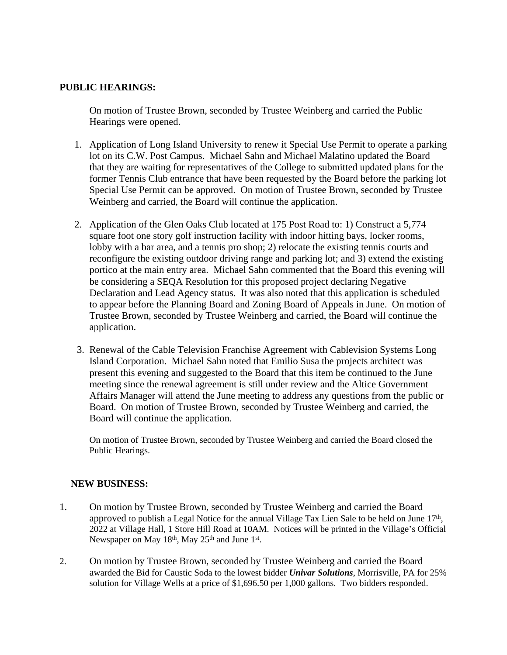## **PUBLIC HEARINGS:**

On motion of Trustee Brown, seconded by Trustee Weinberg and carried the Public Hearings were opened.

- 1. Application of Long Island University to renew it Special Use Permit to operate a parking lot on its C.W. Post Campus. Michael Sahn and Michael Malatino updated the Board that they are waiting for representatives of the College to submitted updated plans for the former Tennis Club entrance that have been requested by the Board before the parking lot Special Use Permit can be approved. On motion of Trustee Brown, seconded by Trustee Weinberg and carried, the Board will continue the application.
- 2. Application of the Glen Oaks Club located at 175 Post Road to: 1) Construct a 5,774 square foot one story golf instruction facility with indoor hitting bays, locker rooms, lobby with a bar area, and a tennis pro shop; 2) relocate the existing tennis courts and reconfigure the existing outdoor driving range and parking lot; and 3) extend the existing portico at the main entry area. Michael Sahn commented that the Board this evening will be considering a SEQA Resolution for this proposed project declaring Negative Declaration and Lead Agency status. It was also noted that this application is scheduled to appear before the Planning Board and Zoning Board of Appeals in June. On motion of Trustee Brown, seconded by Trustee Weinberg and carried, the Board will continue the application.
- 3. Renewal of the Cable Television Franchise Agreement with Cablevision Systems Long Island Corporation. Michael Sahn noted that Emilio Susa the projects architect was present this evening and suggested to the Board that this item be continued to the June meeting since the renewal agreement is still under review and the Altice Government Affairs Manager will attend the June meeting to address any questions from the public or Board. On motion of Trustee Brown, seconded by Trustee Weinberg and carried, the Board will continue the application.

On motion of Trustee Brown, seconded by Trustee Weinberg and carried the Board closed the Public Hearings.

## **NEW BUSINESS:**

- 1. On motion by Trustee Brown, seconded by Trustee Weinberg and carried the Board approved to publish a Legal Notice for the annual Village Tax Lien Sale to be held on June 17<sup>th</sup>, 2022 at Village Hall, 1 Store Hill Road at 10AM. Notices will be printed in the Village's Official Newspaper on May 18<sup>th</sup>, May 25<sup>th</sup> and June 1<sup>st</sup>.
- 2. On motion by Trustee Brown, seconded by Trustee Weinberg and carried the Board awarded the Bid for Caustic Soda to the lowest bidder *Univar Solutions*, Morrisville, PA for 25% solution for Village Wells at a price of \$1,696.50 per 1,000 gallons. Two bidders responded.